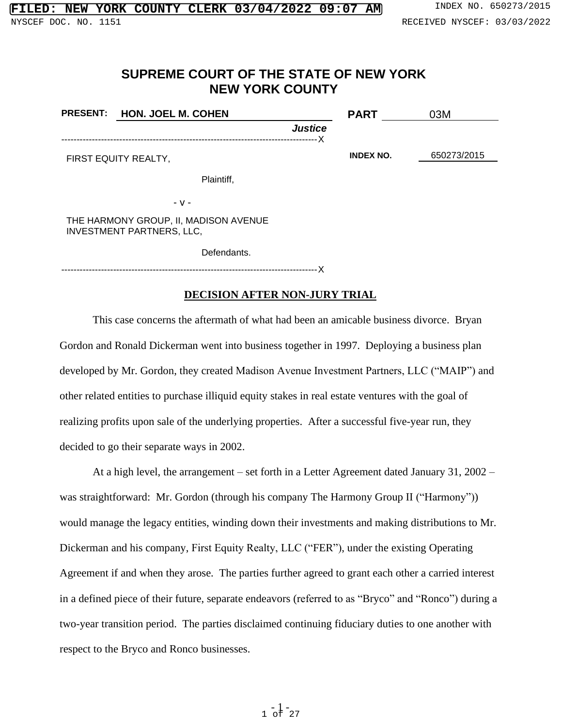# **SUPREME COURT OF THE STATE OF NEW YORK NEW YORK COUNTY**

| <b>PRESENT:</b>                                                           | <b>HON. JOEL M. COHEN</b> |                | <b>PART</b>      | 03M         |
|---------------------------------------------------------------------------|---------------------------|----------------|------------------|-------------|
|                                                                           |                           | <b>Justice</b> |                  |             |
|                                                                           | FIRST EQUITY REALTY,      |                | <b>INDEX NO.</b> | 650273/2015 |
|                                                                           | Plaintiff,                |                |                  |             |
|                                                                           | - v -                     |                |                  |             |
| THE HARMONY GROUP, II, MADISON AVENUE<br><b>INVESTMENT PARTNERS, LLC,</b> |                           |                |                  |             |
|                                                                           | Defendants.               |                |                  |             |
|                                                                           |                           |                |                  |             |

# **DECISION AFTER NON-JURY TRIAL**

This case concerns the aftermath of what had been an amicable business divorce. Bryan Gordon and Ronald Dickerman went into business together in 1997. Deploying a business plan developed by Mr. Gordon, they created Madison Avenue Investment Partners, LLC ("MAIP") and other related entities to purchase illiquid equity stakes in real estate ventures with the goal of realizing profits upon sale of the underlying properties. After a successful five-year run, they decided to go their separate ways in 2002.

At a high level, the arrangement – set forth in a Letter Agreement dated January 31, 2002 – was straightforward: Mr. Gordon (through his company The Harmony Group II ("Harmony")) would manage the legacy entities, winding down their investments and making distributions to Mr. Dickerman and his company, First Equity Realty, LLC ("FER"), under the existing Operating Agreement if and when they arose. The parties further agreed to grant each other a carried interest in a defined piece of their future, separate endeavors (referred to as "Bryco" and "Ronco") during a two-year transition period. The parties disclaimed continuing fiduciary duties to one another with respect to the Bryco and Ronco businesses.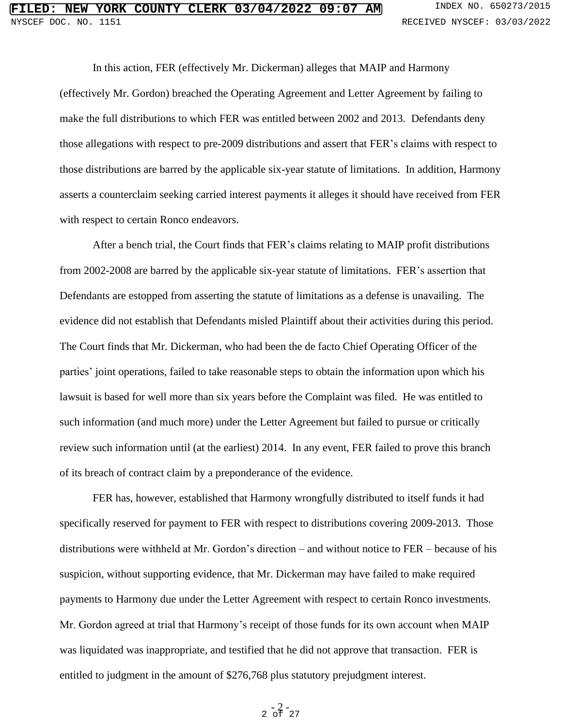In this action, FER (effectively Mr. Dickerman) alleges that MAIP and Harmony (effectively Mr. Gordon) breached the Operating Agreement and Letter Agreement by failing to make the full distributions to which FER was entitled between 2002 and 2013. Defendants deny those allegations with respect to pre-2009 distributions and assert that FER's claims with respect to those distributions are barred by the applicable six-year statute of limitations. In addition, Harmony asserts a counterclaim seeking carried interest payments it alleges it should have received from FER with respect to certain Ronco endeavors.

After a bench trial, the Court finds that FER's claims relating to MAIP profit distributions from 2002-2008 are barred by the applicable six-year statute of limitations. FER's assertion that Defendants are estopped from asserting the statute of limitations as a defense is unavailing. The evidence did not establish that Defendants misled Plaintiff about their activities during this period. The Court finds that Mr. Dickerman, who had been the de facto Chief Operating Officer of the parties' joint operations, failed to take reasonable steps to obtain the information upon which his lawsuit is based for well more than six years before the Complaint was filed. He was entitled to such information (and much more) under the Letter Agreement but failed to pursue or critically review such information until (at the earliest) 2014. In any event, FER failed to prove this branch of its breach of contract claim by a preponderance of the evidence.

FER has, however, established that Harmony wrongfully distributed to itself funds it had specifically reserved for payment to FER with respect to distributions covering 2009-2013. Those distributions were withheld at Mr. Gordon's direction – and without notice to FER – because of his suspicion, without supporting evidence, that Mr. Dickerman may have failed to make required payments to Harmony due under the Letter Agreement with respect to certain Ronco investments. Mr. Gordon agreed at trial that Harmony's receipt of those funds for its own account when MAIP was liquidated was inappropriate, and testified that he did not approve that transaction. FER is entitled to judgment in the amount of \$276,768 plus statutory prejudgment interest.

# $2 - \frac{2}{\text{of}} - \frac{2}{27}$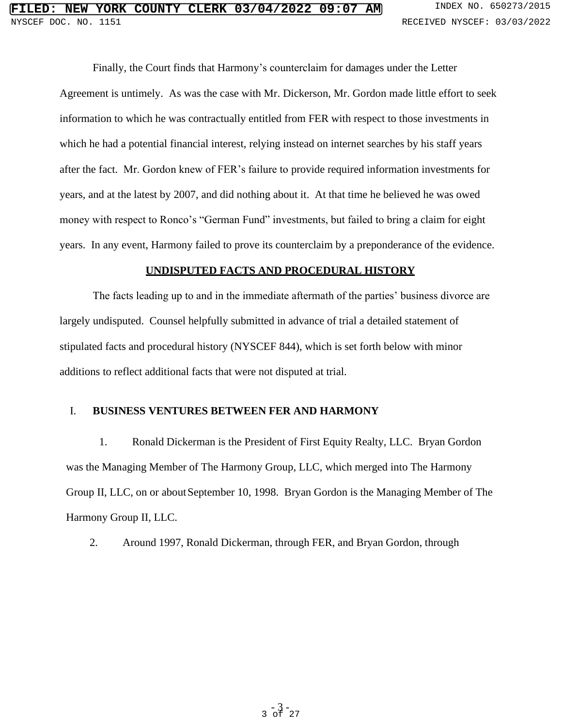# **FIRE COUNTY CLERK 03/04/2022 09:07 AM** INDEX NO. 650273/2015 NYSCEF DOC. NO. 1151 **RECEIVED NYSCEF: 03/03/2022**

Finally, the Court finds that Harmony's counterclaim for damages under the Letter Agreement is untimely. As was the case with Mr. Dickerson, Mr. Gordon made little effort to seek information to which he was contractually entitled from FER with respect to those investments in which he had a potential financial interest, relying instead on internet searches by his staff years after the fact. Mr. Gordon knew of FER's failure to provide required information investments for years, and at the latest by 2007, and did nothing about it. At that time he believed he was owed money with respect to Ronco's "German Fund" investments, but failed to bring a claim for eight years. In any event, Harmony failed to prove its counterclaim by a preponderance of the evidence.

# **UNDISPUTED FACTS AND PROCEDURAL HISTORY**

The facts leading up to and in the immediate aftermath of the parties' business divorce are largely undisputed. Counsel helpfully submitted in advance of trial a detailed statement of stipulated facts and procedural history (NYSCEF 844), which is set forth below with minor additions to reflect additional facts that were not disputed at trial.

# I. **BUSINESS VENTURES BETWEEN FER AND HARMONY**

1. Ronald Dickerman is the President of First Equity Realty, LLC. Bryan Gordon was the Managing Member of The Harmony Group, LLC, which merged into The Harmony Group II, LLC, on or about September 10, 1998. Bryan Gordon is the Managing Member of The Harmony Group II, LLC.

2. Around 1997, Ronald Dickerman, through FER, and Bryan Gordon, through

 $-3$  -  $27$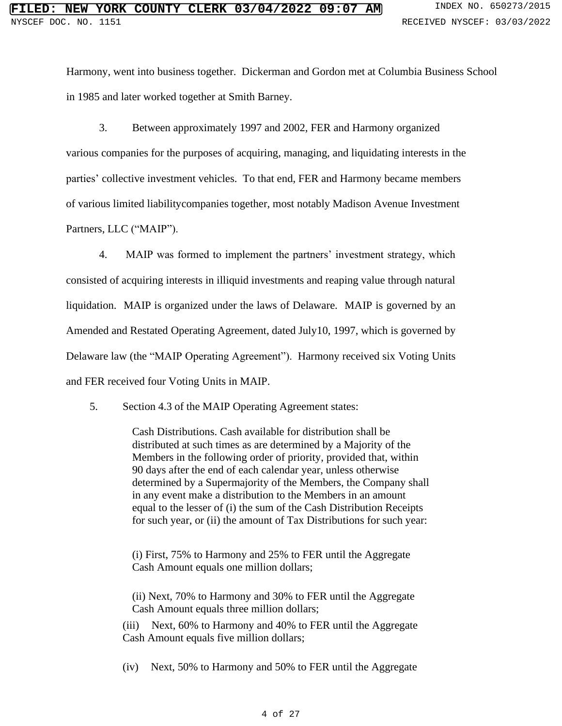Harmony, went into business together. Dickerman and Gordon met at Columbia Business School in 1985 and later worked together at Smith Barney.

3. Between approximately 1997 and 2002, FER and Harmony organized various companies for the purposes of acquiring, managing, and liquidating interests in the parties' collective investment vehicles. To that end, FER and Harmony became members of various limited liabilitycompanies together, most notably Madison Avenue Investment Partners, LLC ("MAIP").

4. MAIP was formed to implement the partners' investment strategy, which consisted of acquiring interests in illiquid investments and reaping value through natural liquidation. MAIP is organized under the laws of Delaware. MAIP is governed by an Amended and Restated Operating Agreement, dated July10, 1997, which is governed by Delaware law (the "MAIP Operating Agreement"). Harmony received six Voting Units and FER received four Voting Units in MAIP.

5. Section 4.3 of the MAIP Operating Agreement states:

Cash Distributions. Cash available for distribution shall be distributed at such times as are determined by a Majority of the Members in the following order of priority, provided that, within 90 days after the end of each calendar year, unless otherwise determined by a Supermajority of the Members, the Company shall in any event make a distribution to the Members in an amount equal to the lesser of (i) the sum of the Cash Distribution Receipts for such year, or (ii) the amount of Tax Distributions for such year:

(i) First, 75% to Harmony and 25% to FER until the Aggregate Cash Amount equals one million dollars;

(ii) Next, 70% to Harmony and 30% to FER until the Aggregate Cash Amount equals three million dollars;

(iii) Next, 60% to Harmony and 40% to FER until the Aggregate Cash Amount equals five million dollars;

(iv) Next, 50% to Harmony and 50% to FER until the Aggregate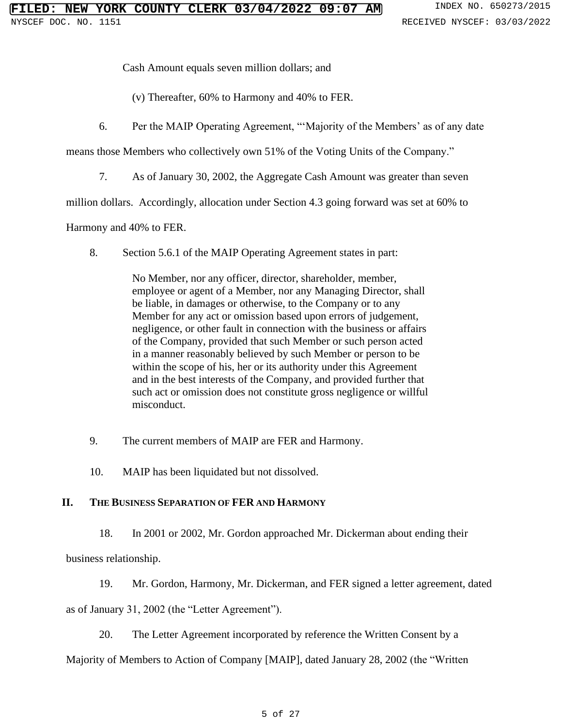Cash Amount equals seven million dollars; and

(v) Thereafter, 60% to Harmony and 40% to FER.

6. Per the MAIP Operating Agreement, "'Majority of the Members' as of any date

means those Members who collectively own 51% of the Voting Units of the Company."

7. As of January 30, 2002, the Aggregate Cash Amount was greater than seven

million dollars. Accordingly, allocation under Section 4.3 going forward was set at 60% to

Harmony and 40% to FER.

8. Section 5.6.1 of the MAIP Operating Agreement states in part:

No Member, nor any officer, director, shareholder, member, employee or agent of a Member, nor any Managing Director, shall be liable, in damages or otherwise, to the Company or to any Member for any act or omission based upon errors of judgement, negligence, or other fault in connection with the business or affairs of the Company, provided that such Member or such person acted in a manner reasonably believed by such Member or person to be within the scope of his, her or its authority under this Agreement and in the best interests of the Company, and provided further that such act or omission does not constitute gross negligence or willful misconduct.

- 9. The current members of MAIP are FER and Harmony.
- 10. MAIP has been liquidated but not dissolved.

# **II. THE BUSINESS SEPARATION OF FER AND HARMONY**

- 18. In 2001 or 2002, Mr. Gordon approached Mr. Dickerman about ending their business relationship.
- 19. Mr. Gordon, Harmony, Mr. Dickerman, and FER signed a letter agreement, dated as of January 31, 2002 (the "Letter Agreement").
	- 20. The Letter Agreement incorporated by reference the Written Consent by a

Majority of Members to Action of Company [MAIP], dated January 28, 2002 (the "Written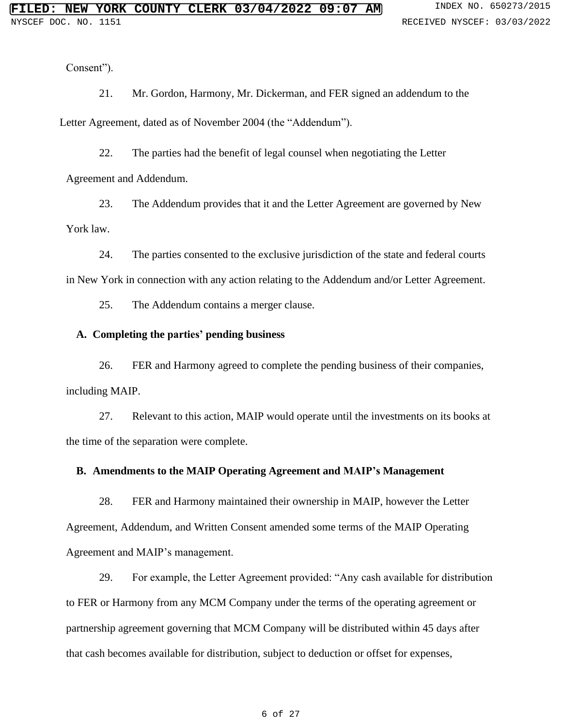Consent").

21. Mr. Gordon, Harmony, Mr. Dickerman, and FER signed an addendum to the

Letter Agreement, dated as of November 2004 (the "Addendum").

22. The parties had the benefit of legal counsel when negotiating the Letter

Agreement and Addendum.

23. The Addendum provides that it and the Letter Agreement are governed by New York law.

24. The parties consented to the exclusive jurisdiction of the state and federal courts in New York in connection with any action relating to the Addendum and/or Letter Agreement.

25. The Addendum contains a merger clause.

# **A. Completing the parties' pending business**

26. FER and Harmony agreed to complete the pending business of their companies, including MAIP.

27. Relevant to this action, MAIP would operate until the investments on its books at the time of the separation were complete.

# **B. Amendments to the MAIP Operating Agreement and MAIP's Management**

28. FER and Harmony maintained their ownership in MAIP, however the Letter Agreement, Addendum, and Written Consent amended some terms of the MAIP Operating Agreement and MAIP's management.

29. For example, the Letter Agreement provided: "Any cash available for distribution to FER or Harmony from any MCM Company under the terms of the operating agreement or partnership agreement governing that MCM Company will be distributed within 45 days after that cash becomes available for distribution, subject to deduction or offset for expenses,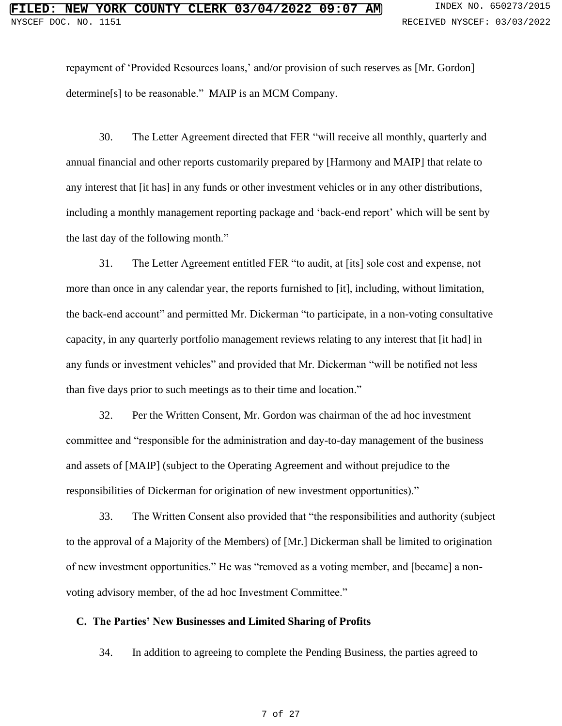repayment of 'Provided Resources loans,' and/or provision of such reserves as [Mr. Gordon] determine[s] to be reasonable." MAIP is an MCM Company.

30. The Letter Agreement directed that FER "will receive all monthly, quarterly and annual financial and other reports customarily prepared by [Harmony and MAIP] that relate to any interest that [it has] in any funds or other investment vehicles or in any other distributions, including a monthly management reporting package and 'back-end report' which will be sent by the last day of the following month."

31. The Letter Agreement entitled FER "to audit, at [its] sole cost and expense, not more than once in any calendar year, the reports furnished to [it], including, without limitation, the back-end account" and permitted Mr. Dickerman "to participate, in a non-voting consultative capacity, in any quarterly portfolio management reviews relating to any interest that [it had] in any funds or investment vehicles" and provided that Mr. Dickerman "will be notified not less than five days prior to such meetings as to their time and location."

32. Per the Written Consent, Mr. Gordon was chairman of the ad hoc investment committee and "responsible for the administration and day-to-day management of the business and assets of [MAIP] (subject to the Operating Agreement and without prejudice to the responsibilities of Dickerman for origination of new investment opportunities)."

33. The Written Consent also provided that "the responsibilities and authority (subject to the approval of a Majority of the Members) of [Mr.] Dickerman shall be limited to origination of new investment opportunities." He was "removed as a voting member, and [became] a nonvoting advisory member, of the ad hoc Investment Committee."

# **C. The Parties' New Businesses and Limited Sharing of Profits**

34. In addition to agreeing to complete the Pending Business, the parties agreed to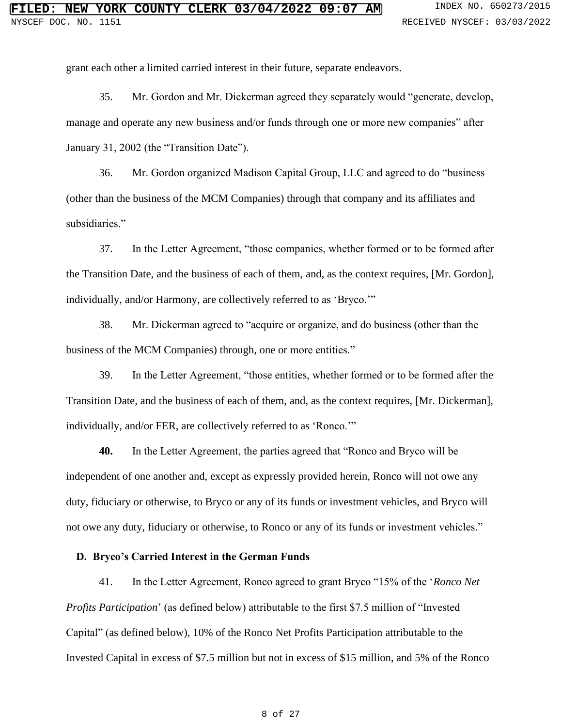grant each other a limited carried interest in their future, separate endeavors.

35. Mr. Gordon and Mr. Dickerman agreed they separately would "generate, develop, manage and operate any new business and/or funds through one or more new companies" after January 31, 2002 (the "Transition Date").

36. Mr. Gordon organized Madison Capital Group, LLC and agreed to do "business (other than the business of the MCM Companies) through that company and its affiliates and subsidiaries."

37. In the Letter Agreement, "those companies, whether formed or to be formed after the Transition Date, and the business of each of them, and, as the context requires, [Mr. Gordon], individually, and/or Harmony, are collectively referred to as 'Bryco.'"

38. Mr. Dickerman agreed to "acquire or organize, and do business (other than the business of the MCM Companies) through, one or more entities."

39. In the Letter Agreement, "those entities, whether formed or to be formed after the Transition Date, and the business of each of them, and, as the context requires, [Mr. Dickerman], individually, and/or FER, are collectively referred to as 'Ronco.'"

**40.** In the Letter Agreement, the parties agreed that "Ronco and Bryco will be independent of one another and, except as expressly provided herein, Ronco will not owe any duty, fiduciary or otherwise, to Bryco or any of its funds or investment vehicles, and Bryco will not owe any duty, fiduciary or otherwise, to Ronco or any of its funds or investment vehicles."

# **D. Bryco's Carried Interest in the German Funds**

41. In the Letter Agreement, Ronco agreed to grant Bryco "15% of the '*Ronco Net Profits Participation*' (as defined below) attributable to the first \$7.5 million of "Invested Capital" (as defined below), 10% of the Ronco Net Profits Participation attributable to the Invested Capital in excess of \$7.5 million but not in excess of \$15 million, and 5% of the Ronco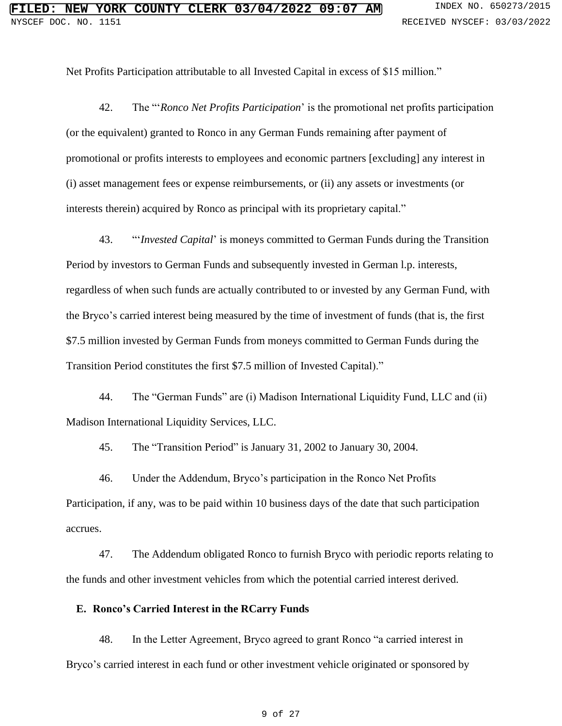Net Profits Participation attributable to all Invested Capital in excess of \$15 million."

42. The "'*Ronco Net Profits Participation*' is the promotional net profits participation (or the equivalent) granted to Ronco in any German Funds remaining after payment of promotional or profits interests to employees and economic partners [excluding] any interest in (i) asset management fees or expense reimbursements, or (ii) any assets or investments (or interests therein) acquired by Ronco as principal with its proprietary capital."

43. "'*Invested Capital*' is moneys committed to German Funds during the Transition Period by investors to German Funds and subsequently invested in German l.p. interests, regardless of when such funds are actually contributed to or invested by any German Fund, with the Bryco's carried interest being measured by the time of investment of funds (that is, the first \$7.5 million invested by German Funds from moneys committed to German Funds during the Transition Period constitutes the first \$7.5 million of Invested Capital)."

44. The "German Funds" are (i) Madison International Liquidity Fund, LLC and (ii) Madison International Liquidity Services, LLC.

45. The "Transition Period" is January 31, 2002 to January 30, 2004.

46. Under the Addendum, Bryco's participation in the Ronco Net Profits Participation, if any, was to be paid within 10 business days of the date that such participation accrues.

47. The Addendum obligated Ronco to furnish Bryco with periodic reports relating to the funds and other investment vehicles from which the potential carried interest derived.

# **E. Ronco's Carried Interest in the RCarry Funds**

48. In the Letter Agreement, Bryco agreed to grant Ronco "a carried interest in Bryco's carried interest in each fund or other investment vehicle originated or sponsored by

#### 9 of 27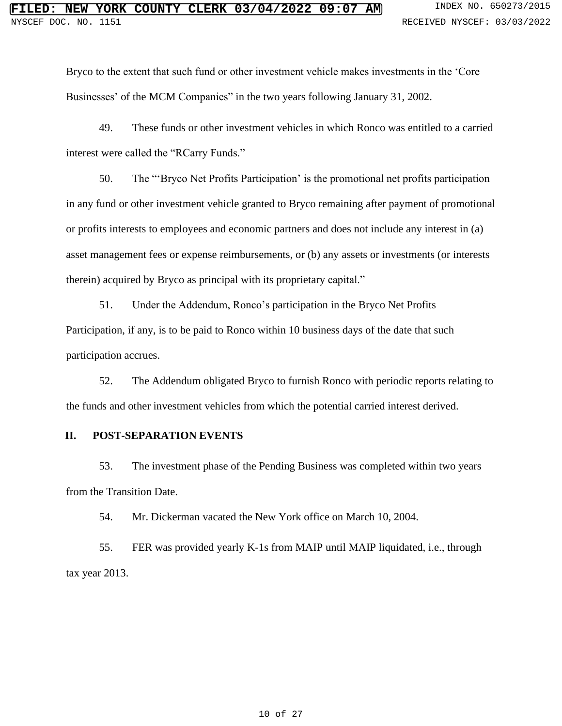Bryco to the extent that such fund or other investment vehicle makes investments in the 'Core Businesses' of the MCM Companies" in the two years following January 31, 2002.

49. These funds or other investment vehicles in which Ronco was entitled to a carried interest were called the "RCarry Funds."

50. The "'Bryco Net Profits Participation' is the promotional net profits participation in any fund or other investment vehicle granted to Bryco remaining after payment of promotional or profits interests to employees and economic partners and does not include any interest in (a) asset management fees or expense reimbursements, or (b) any assets or investments (or interests therein) acquired by Bryco as principal with its proprietary capital."

51. Under the Addendum, Ronco's participation in the Bryco Net Profits Participation, if any, is to be paid to Ronco within 10 business days of the date that such participation accrues.

52. The Addendum obligated Bryco to furnish Ronco with periodic reports relating to the funds and other investment vehicles from which the potential carried interest derived.

# **II. POST-SEPARATION EVENTS**

53. The investment phase of the Pending Business was completed within two years from the Transition Date.

54. Mr. Dickerman vacated the New York office on March 10, 2004.

55. FER was provided yearly K-1s from MAIP until MAIP liquidated, i.e., through tax year 2013.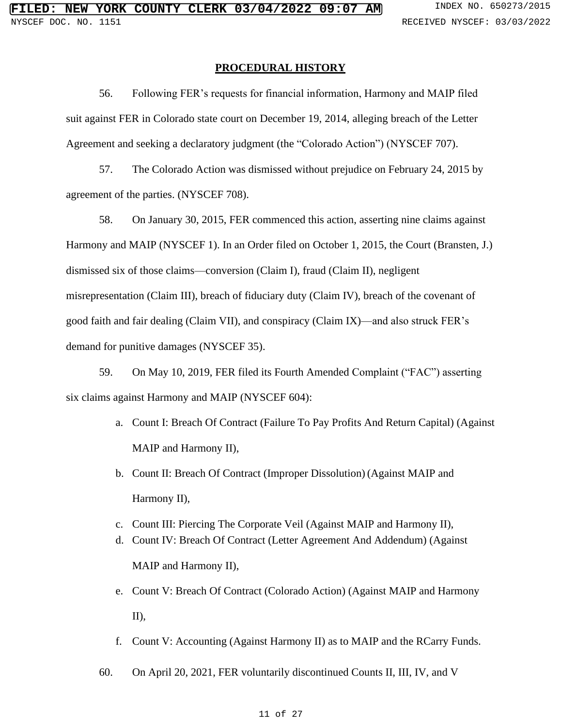### **PROCEDURAL HISTORY**

56. Following FER's requests for financial information, Harmony and MAIP filed suit against FER in Colorado state court on December 19, 2014, alleging breach of the Letter Agreement and seeking a declaratory judgment (the "Colorado Action") (NYSCEF 707).

57. The Colorado Action was dismissed without prejudice on February 24, 2015 by agreement of the parties. (NYSCEF 708).

58. On January 30, 2015, FER commenced this action, asserting nine claims against Harmony and MAIP (NYSCEF 1). In an Order filed on October 1, 2015, the Court (Bransten, J.) dismissed six of those claims—conversion (Claim I), fraud (Claim II), negligent misrepresentation (Claim III), breach of fiduciary duty (Claim IV), breach of the covenant of good faith and fair dealing (Claim VII), and conspiracy (Claim IX)—and also struck FER's demand for punitive damages (NYSCEF 35).

59. On May 10, 2019, FER filed its Fourth Amended Complaint ("FAC") asserting six claims against Harmony and MAIP (NYSCEF 604):

- a. Count I: Breach Of Contract (Failure To Pay Profits And Return Capital) (Against MAIP and Harmony II),
- b. Count II: Breach Of Contract (Improper Dissolution) (Against MAIP and Harmony II),
- c. Count III: Piercing The Corporate Veil (Against MAIP and Harmony II),
- d. Count IV: Breach Of Contract (Letter Agreement And Addendum) (Against MAIP and Harmony II),
- e. Count V: Breach Of Contract (Colorado Action) (Against MAIP and Harmony  $II$ ).
- f. Count V: Accounting (Against Harmony II) as to MAIP and the RCarry Funds.
- 60. On April 20, 2021, FER voluntarily discontinued Counts II, III, IV, and V

#### 11 of 27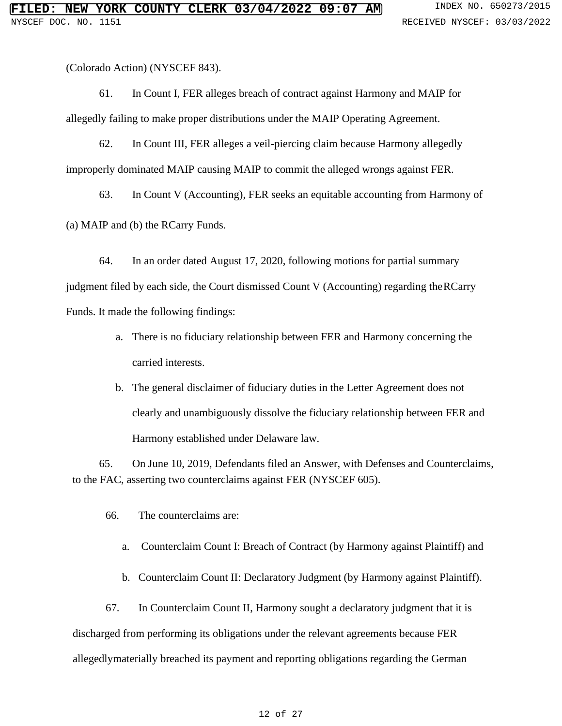(Colorado Action) (NYSCEF 843).

61. In Count I, FER alleges breach of contract against Harmony and MAIP for allegedly failing to make proper distributions under the MAIP Operating Agreement.

62. In Count III, FER alleges a veil-piercing claim because Harmony allegedly improperly dominated MAIP causing MAIP to commit the alleged wrongs against FER.

63. In Count V (Accounting), FER seeks an equitable accounting from Harmony of

(a) MAIP and (b) the RCarry Funds.

64. In an order dated August 17, 2020, following motions for partial summary judgment filed by each side, the Court dismissed Count V (Accounting) regarding the RCarry Funds. It made the following findings:

- a. There is no fiduciary relationship between FER and Harmony concerning the carried interests.
- b. The general disclaimer of fiduciary duties in the Letter Agreement does not clearly and unambiguously dissolve the fiduciary relationship between FER and Harmony established under Delaware law.

65. On June 10, 2019, Defendants filed an Answer, with Defenses and Counterclaims, to the FAC, asserting two counterclaims against FER (NYSCEF 605).

66. The counterclaims are:

- a. Counterclaim Count I: Breach of Contract (by Harmony against Plaintiff) and
- b. Counterclaim Count II: Declaratory Judgment (by Harmony against Plaintiff).

67. In Counterclaim Count II, Harmony sought a declaratory judgment that it is discharged from performing its obligations under the relevant agreements because FER allegedlymaterially breached its payment and reporting obligations regarding the German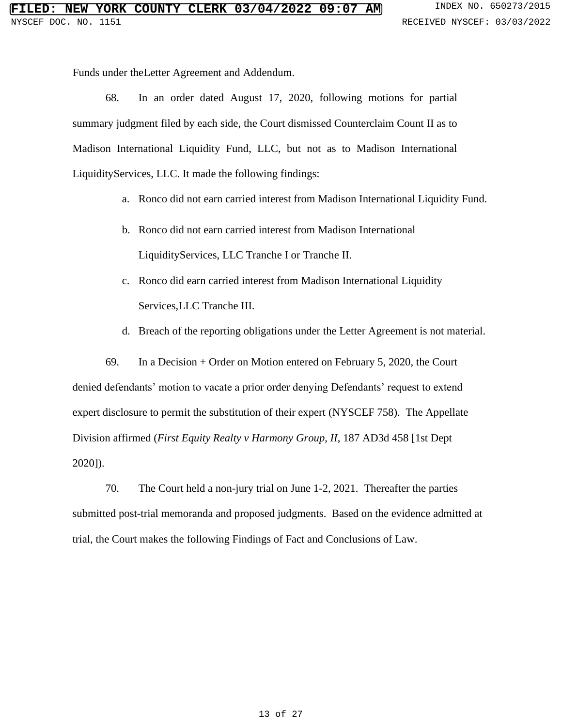Funds under theLetter Agreement and Addendum.

68. In an order dated August 17, 2020, following motions for partial summary judgment filed by each side, the Court dismissed Counterclaim Count II as to Madison International Liquidity Fund, LLC, but not as to Madison International LiquidityServices, LLC. It made the following findings:

- a. Ronco did not earn carried interest from Madison International Liquidity Fund.
- b. Ronco did not earn carried interest from Madison International LiquidityServices, LLC Tranche I or Tranche II.
- c. Ronco did earn carried interest from Madison International Liquidity Services,LLC Tranche III.
- d. Breach of the reporting obligations under the Letter Agreement is not material.

69. In a Decision + Order on Motion entered on February 5, 2020, the Court denied defendants' motion to vacate a prior order denying Defendants' request to extend expert disclosure to permit the substitution of their expert (NYSCEF 758). The Appellate Division affirmed (*First Equity Realty v Harmony Group, II*, 187 AD3d 458 [1st Dept 2020]).

70. The Court held a non-jury trial on June 1-2, 2021. Thereafter the parties submitted post-trial memoranda and proposed judgments. Based on the evidence admitted at trial, the Court makes the following Findings of Fact and Conclusions of Law.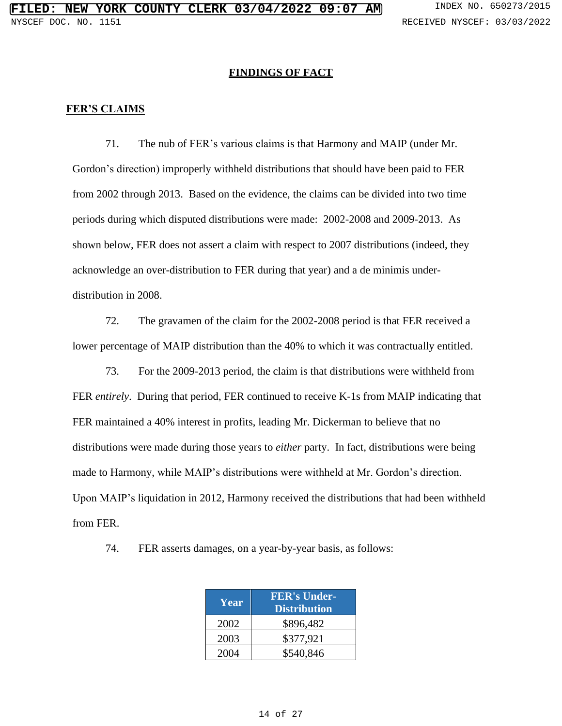#### **FINDINGS OF FACT**

#### **FER'S CLAIMS**

71. The nub of FER's various claims is that Harmony and MAIP (under Mr. Gordon's direction) improperly withheld distributions that should have been paid to FER from 2002 through 2013. Based on the evidence, the claims can be divided into two time periods during which disputed distributions were made: 2002-2008 and 2009-2013. As shown below, FER does not assert a claim with respect to 2007 distributions (indeed, they acknowledge an over-distribution to FER during that year) and a de minimis underdistribution in 2008.

72. The gravamen of the claim for the 2002-2008 period is that FER received a lower percentage of MAIP distribution than the 40% to which it was contractually entitled.

73. For the 2009-2013 period, the claim is that distributions were withheld from FER *entirely*. During that period, FER continued to receive K-1s from MAIP indicating that FER maintained a 40% interest in profits, leading Mr. Dickerman to believe that no distributions were made during those years to *either* party. In fact, distributions were being made to Harmony, while MAIP's distributions were withheld at Mr. Gordon's direction. Upon MAIP's liquidation in 2012, Harmony received the distributions that had been withheld from FER.

| Year | <b>FER's Under-</b><br><b>Distribution</b> |
|------|--------------------------------------------|
| 2002 | \$896,482                                  |
| 2003 | \$377,921                                  |
| 2004 | \$540,846                                  |

74. FER asserts damages, on a year-by-year basis, as follows: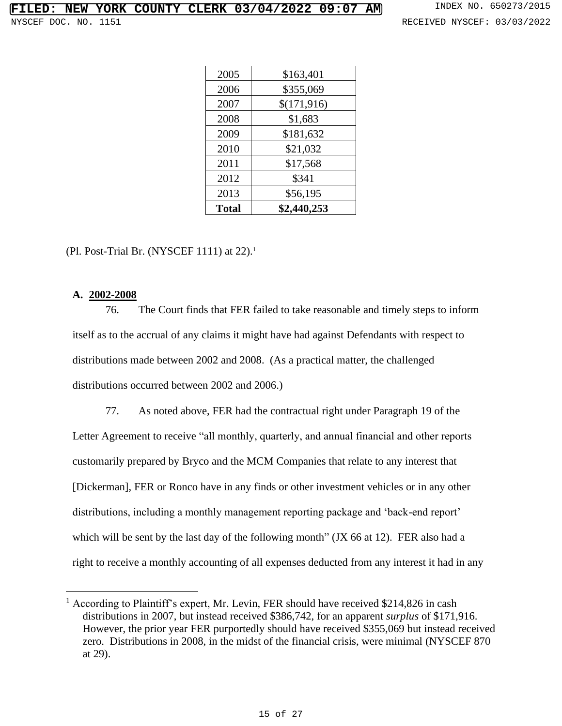| 2005         | \$163,401   |
|--------------|-------------|
| 2006         | \$355,069   |
| 2007         | \$(171,916) |
| 2008         | \$1,683     |
| 2009         | \$181,632   |
| 2010         | \$21,032    |
| 2011         | \$17,568    |
| 2012         | \$341       |
| 2013         | \$56,195    |
| <b>Total</b> | \$2,440,253 |

(Pl. Post-Trial Br. (NYSCEF 1111) at  $22$ ).<sup>1</sup>

# **A. 2002-2008**

76. The Court finds that FER failed to take reasonable and timely steps to inform itself as to the accrual of any claims it might have had against Defendants with respect to distributions made between 2002 and 2008. (As a practical matter, the challenged distributions occurred between 2002 and 2006.)

77. As noted above, FER had the contractual right under Paragraph 19 of the Letter Agreement to receive "all monthly, quarterly, and annual financial and other reports customarily prepared by Bryco and the MCM Companies that relate to any interest that [Dickerman], FER or Ronco have in any finds or other investment vehicles or in any other distributions, including a monthly management reporting package and 'back-end report' which will be sent by the last day of the following month" (JX 66 at 12). FER also had a right to receive a monthly accounting of all expenses deducted from any interest it had in any

<sup>&</sup>lt;sup>1</sup> According to Plaintiff's expert, Mr. Levin, FER should have received \$214,826 in cash distributions in 2007, but instead received \$386,742, for an apparent *surplus* of \$171,916. However, the prior year FER purportedly should have received \$355,069 but instead received zero. Distributions in 2008, in the midst of the financial crisis, were minimal (NYSCEF 870 at 29).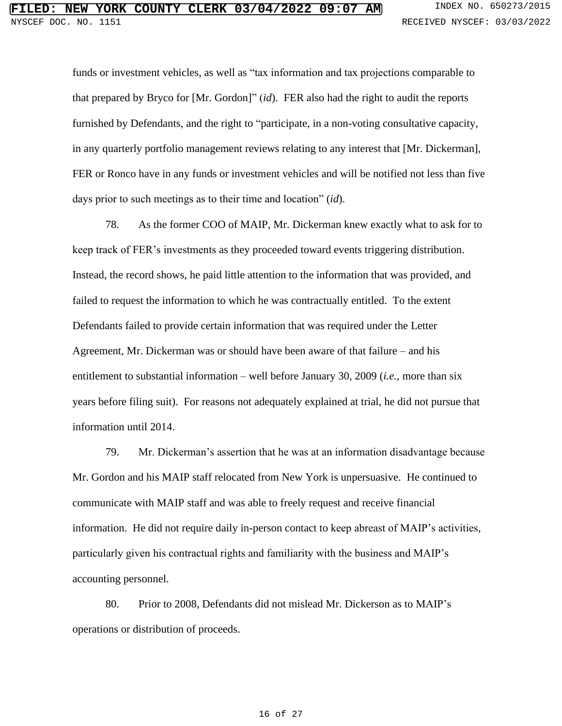funds or investment vehicles, as well as "tax information and tax projections comparable to that prepared by Bryco for [Mr. Gordon]" (*id*). FER also had the right to audit the reports furnished by Defendants, and the right to "participate, in a non-voting consultative capacity, in any quarterly portfolio management reviews relating to any interest that [Mr. Dickerman], FER or Ronco have in any funds or investment vehicles and will be notified not less than five days prior to such meetings as to their time and location" (*id*).

78. As the former COO of MAIP, Mr. Dickerman knew exactly what to ask for to keep track of FER's investments as they proceeded toward events triggering distribution. Instead, the record shows, he paid little attention to the information that was provided, and failed to request the information to which he was contractually entitled. To the extent Defendants failed to provide certain information that was required under the Letter Agreement, Mr. Dickerman was or should have been aware of that failure – and his entitlement to substantial information – well before January 30, 2009 (*i.e.*, more than six years before filing suit). For reasons not adequately explained at trial, he did not pursue that information until 2014.

79. Mr. Dickerman's assertion that he was at an information disadvantage because Mr. Gordon and his MAIP staff relocated from New York is unpersuasive. He continued to communicate with MAIP staff and was able to freely request and receive financial information. He did not require daily in-person contact to keep abreast of MAIP's activities, particularly given his contractual rights and familiarity with the business and MAIP's accounting personnel.

80. Prior to 2008, Defendants did not mislead Mr. Dickerson as to MAIP's operations or distribution of proceeds.

#### 16 of 27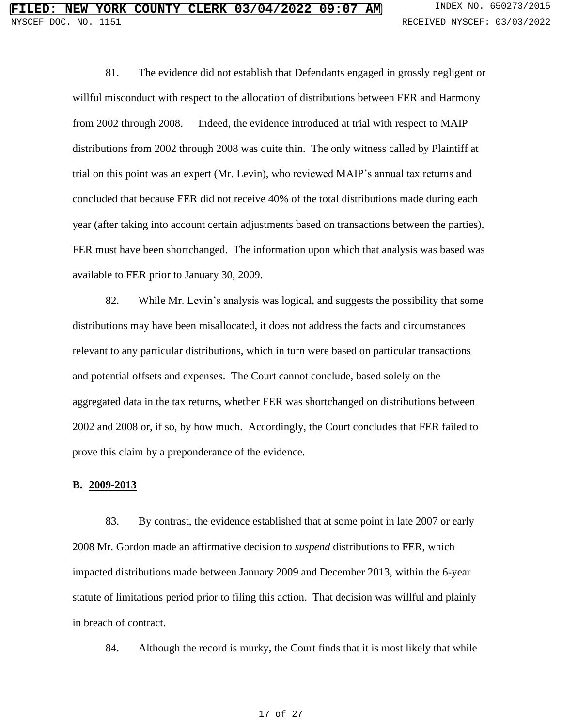81. The evidence did not establish that Defendants engaged in grossly negligent or willful misconduct with respect to the allocation of distributions between FER and Harmony from 2002 through 2008. Indeed, the evidence introduced at trial with respect to MAIP distributions from 2002 through 2008 was quite thin. The only witness called by Plaintiff at trial on this point was an expert (Mr. Levin), who reviewed MAIP's annual tax returns and concluded that because FER did not receive 40% of the total distributions made during each year (after taking into account certain adjustments based on transactions between the parties), FER must have been shortchanged. The information upon which that analysis was based was available to FER prior to January 30, 2009.

82. While Mr. Levin's analysis was logical, and suggests the possibility that some distributions may have been misallocated, it does not address the facts and circumstances relevant to any particular distributions, which in turn were based on particular transactions and potential offsets and expenses. The Court cannot conclude, based solely on the aggregated data in the tax returns, whether FER was shortchanged on distributions between 2002 and 2008 or, if so, by how much. Accordingly, the Court concludes that FER failed to prove this claim by a preponderance of the evidence.

#### **B. 2009-2013**

83. By contrast, the evidence established that at some point in late 2007 or early 2008 Mr. Gordon made an affirmative decision to *suspend* distributions to FER, which impacted distributions made between January 2009 and December 2013, within the 6-year statute of limitations period prior to filing this action. That decision was willful and plainly in breach of contract.

84. Although the record is murky, the Court finds that it is most likely that while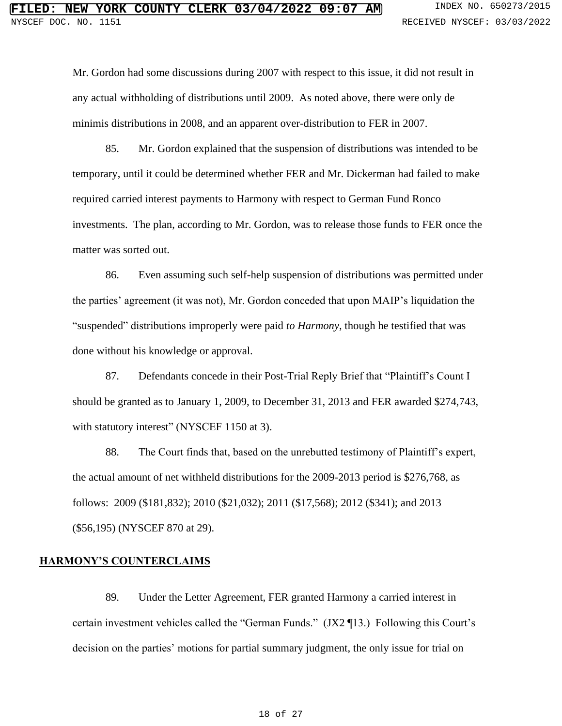Mr. Gordon had some discussions during 2007 with respect to this issue, it did not result in any actual withholding of distributions until 2009. As noted above, there were only de minimis distributions in 2008, and an apparent over-distribution to FER in 2007.

85. Mr. Gordon explained that the suspension of distributions was intended to be temporary, until it could be determined whether FER and Mr. Dickerman had failed to make required carried interest payments to Harmony with respect to German Fund Ronco investments. The plan, according to Mr. Gordon, was to release those funds to FER once the matter was sorted out.

86. Even assuming such self-help suspension of distributions was permitted under the parties' agreement (it was not), Mr. Gordon conceded that upon MAIP's liquidation the "suspended" distributions improperly were paid *to Harmony*, though he testified that was done without his knowledge or approval.

87. Defendants concede in their Post-Trial Reply Brief that "Plaintiff's Count I should be granted as to January 1, 2009, to December 31, 2013 and FER awarded \$274,743, with statutory interest" (NYSCEF 1150 at 3).

88. The Court finds that, based on the unrebutted testimony of Plaintiff's expert, the actual amount of net withheld distributions for the 2009-2013 period is \$276,768, as follows: 2009 (\$181,832); 2010 (\$21,032); 2011 (\$17,568); 2012 (\$341); and 2013 (\$56,195) (NYSCEF 870 at 29).

#### **HARMONY'S COUNTERCLAIMS**

89. Under the Letter Agreement, FER granted Harmony a carried interest in certain investment vehicles called the "German Funds." [\(JX2](https://iapps.courts.state.ny.us/nyscef/ViewDocument?docIndex=Y9_PLUS_zkD6r4fvG00A414j60w==) ¶13.) Following this Court's decision on the parties' motions for partial summary judgment, the only issue for trial on

#### 18 of 27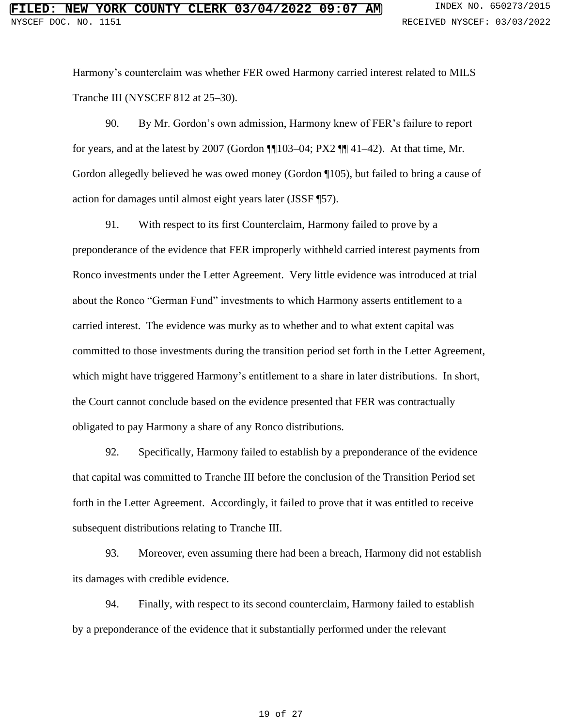Harmony's counterclaim was whether FER owed Harmony carried interest related to MILS Tranche III [\(NYSCEF 812](https://iapps.courts.state.ny.us/fbem/DocumentDisplayServlet?documentId=Jyh9VfBoDjGOFgf0YVyQng==&system=prod) at 25–30).

90. By Mr. Gordon's own admission, Harmony knew of FER's failure to report for years, and at the latest by 2007 [\(Gordon](https://iapps.courts.state.ny.us/nyscef/ViewDocument?docIndex=6Q8ehNkNJElcRBLU3QVlCA==)  $\P$  $103-04$ ; [PX2](https://iapps.courts.state.ny.us/nyscef/ViewDocument?docIndex=WEwdB52ojEM5n_PLUS__PLUS_ifcm5sg==)  $\P$  $\P$  $41-42$ ). At that time, Mr. Gordon allegedly believed he was owed money [\(Gordon](https://iapps.courts.state.ny.us/nyscef/ViewDocument?docIndex=6Q8ehNkNJElcRBLU3QVlCA==) ¶105), but failed to bring a cause of action for damages until almost eight years later [\(JSSF](https://iapps.courts.state.ny.us/fbem/DocumentDisplayServlet?documentId=jd616kVKpjMXoXlj_PLUS_krgFg==&system=prod) ¶57).

91. With respect to its first Counterclaim, Harmony failed to prove by a preponderance of the evidence that FER improperly withheld carried interest payments from Ronco investments under the Letter Agreement. Very little evidence was introduced at trial about the Ronco "German Fund" investments to which Harmony asserts entitlement to a carried interest. The evidence was murky as to whether and to what extent capital was committed to those investments during the transition period set forth in the Letter Agreement, which might have triggered Harmony's entitlement to a share in later distributions. In short, the Court cannot conclude based on the evidence presented that FER was contractually obligated to pay Harmony a share of any Ronco distributions.

92. Specifically, Harmony failed to establish by a preponderance of the evidence that capital was committed to Tranche III before the conclusion of the Transition Period set forth in the Letter Agreement. Accordingly, it failed to prove that it was entitled to receive subsequent distributions relating to Tranche III.

93. Moreover, even assuming there had been a breach, Harmony did not establish its damages with credible evidence.

94. Finally, with respect to its second counterclaim, Harmony failed to establish by a preponderance of the evidence that it substantially performed under the relevant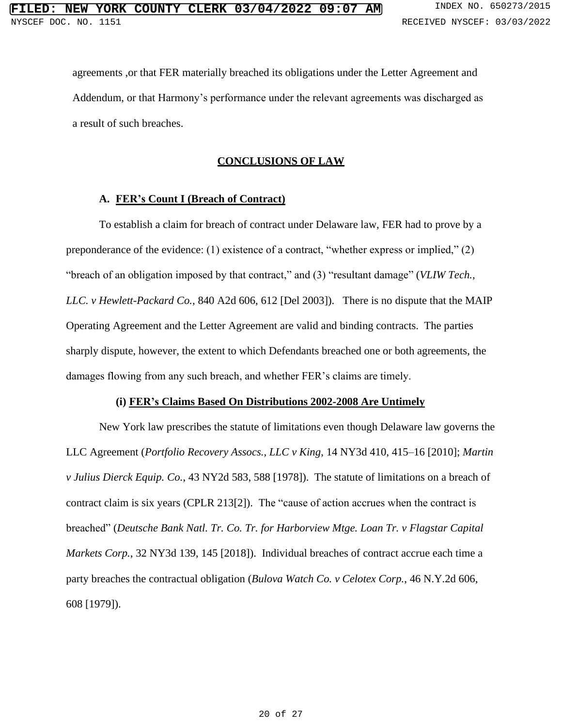agreements ,or that FER materially breached its obligations under the Letter Agreement and Addendum, or that Harmony's performance under the relevant agreements was discharged as a result of such breaches.

# **CONCLUSIONS OF LAW**

# **A. FER's Count I (Breach of Contract)**

To establish a claim for breach of contract under Delaware law, FER had to prove by a preponderance of the evidence: (1) existence of a contract, "whether express or implied," (2) "breach of an obligation imposed by that contract," and (3) "resultant damage" (*VLIW Tech., LLC. v Hewlett-Packard Co.*, 840 A2d 606, 612 [Del 2003]). There is no dispute that the MAIP Operating Agreement and the Letter Agreement are valid and binding contracts. The parties sharply dispute, however, the extent to which Defendants breached one or both agreements, the damages flowing from any such breach, and whether FER's claims are timely.

# **(i) FER's Claims Based On Distributions 2002-2008 Are Untimely**

New York law prescribes the statute of limitations even though Delaware law governs the LLC Agreement (*Portfolio Recovery Assocs., LLC v King*, 14 NY3d 410, 415–16 [2010]; *Martin v Julius Dierck Equip. Co.*, 43 NY2d 583, 588 [1978]). The statute of limitations on a breach of contract claim is six years (CPLR 213[2]). The "cause of action accrues when the contract is breached" (*Deutsche Bank Natl. Tr. Co. Tr. for Harborview Mtge. Loan Tr. v Flagstar Capital Markets Corp.*, 32 NY3d 139, 145 [2018]). Individual breaches of contract accrue each time a party breaches the contractual obligation (*Bulova Watch Co. v Celotex Corp.*, 46 N.Y.2d 606, 608 [1979]).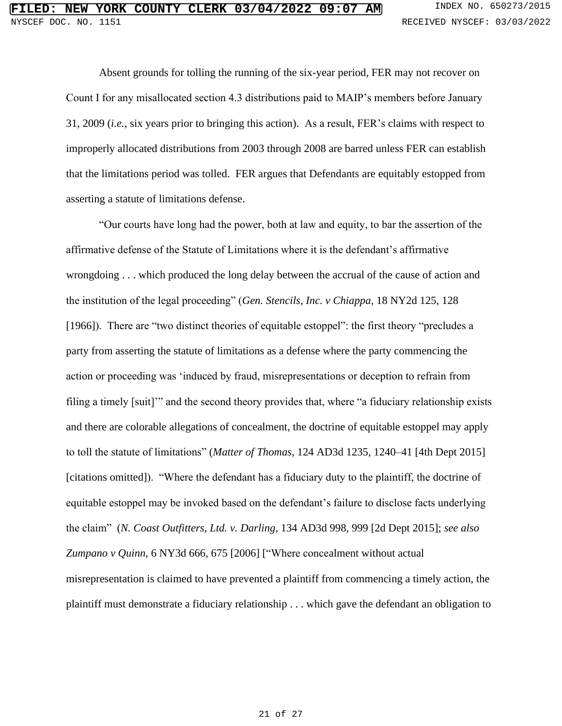Absent grounds for tolling the running of the six-year period, FER may not recover on Count I for any misallocated section 4.3 distributions paid to MAIP's members before January 31, 2009 (*i.e.*, six years prior to bringing this action). As a result, FER's claims with respect to improperly allocated distributions from 2003 through 2008 are barred unless FER can establish that the limitations period was tolled. FER argues that Defendants are equitably estopped from asserting a statute of limitations defense.

"Our courts have long had the power, both at law and equity, to bar the assertion of the affirmative defense of the Statute of Limitations where it is the defendant's affirmative wrongdoing . . . which produced the long delay between the accrual of the cause of action and the institution of the legal proceeding" (*Gen. Stencils, Inc. v Chiappa*, 18 NY2d 125, 128 [1966]). There are "two distinct theories of equitable estoppel": the first theory "precludes a party from asserting the statute of limitations as a defense where the party commencing the action or proceeding was 'induced by fraud, misrepresentations or deception to refrain from filing a timely [suit]'" and the second theory provides that, where "a fiduciary relationship exists and there are colorable allegations of concealment, the doctrine of equitable estoppel may apply to toll the statute of limitations" (*Matter of Thomas,* 124 AD3d 1235, 1240–41 [4th Dept 2015] [citations omitted]). "Where the defendant has a fiduciary duty to the plaintiff, the doctrine of equitable estoppel may be invoked based on the defendant's failure to disclose facts underlying the claim" (*N. Coast Outfitters, Ltd. v. Darling*, 134 AD3d 998, 999 [2d Dept 2015]; *see also Zumpano v Quinn*, 6 NY3d 666, 675 [2006] ["Where concealment without actual misrepresentation is claimed to have prevented a plaintiff from commencing a timely action, the plaintiff must demonstrate a fiduciary relationship . . . which gave the defendant an obligation to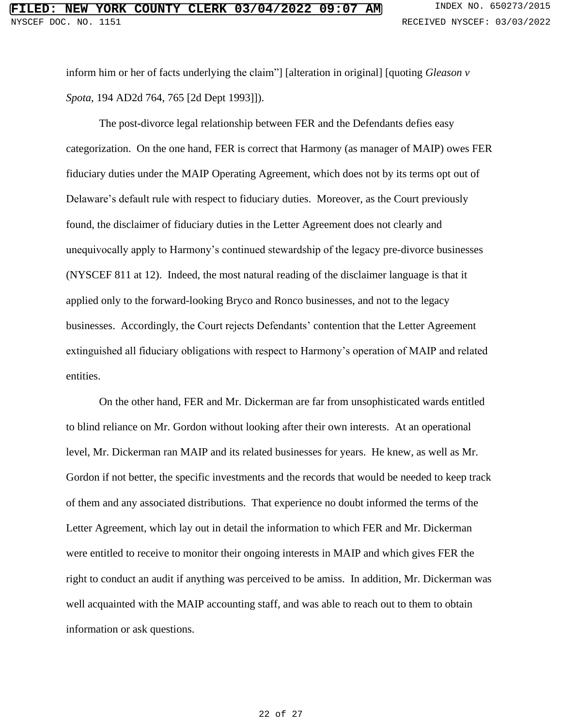inform him or her of facts underlying the claim"] [alteration in original] [quoting *Gleason v Spota*, 194 AD2d 764, 765 [2d Dept 1993]]).

The post-divorce legal relationship between FER and the Defendants defies easy categorization. On the one hand, FER is correct that Harmony (as manager of MAIP) owes FER fiduciary duties under the MAIP Operating Agreement, which does not by its terms opt out of Delaware's default rule with respect to fiduciary duties. Moreover, as the Court previously found, the disclaimer of fiduciary duties in the Letter Agreement does not clearly and unequivocally apply to Harmony's continued stewardship of the legacy pre-divorce businesses (NYSCEF 811 at 12). Indeed, the most natural reading of the disclaimer language is that it applied only to the forward-looking Bryco and Ronco businesses, and not to the legacy businesses. Accordingly, the Court rejects Defendants' contention that the Letter Agreement extinguished all fiduciary obligations with respect to Harmony's operation of MAIP and related entities.

On the other hand, FER and Mr. Dickerman are far from unsophisticated wards entitled to blind reliance on Mr. Gordon without looking after their own interests. At an operational level, Mr. Dickerman ran MAIP and its related businesses for years. He knew, as well as Mr. Gordon if not better, the specific investments and the records that would be needed to keep track of them and any associated distributions. That experience no doubt informed the terms of the Letter Agreement, which lay out in detail the information to which FER and Mr. Dickerman were entitled to receive to monitor their ongoing interests in MAIP and which gives FER the right to conduct an audit if anything was perceived to be amiss. In addition, Mr. Dickerman was well acquainted with the MAIP accounting staff, and was able to reach out to them to obtain information or ask questions.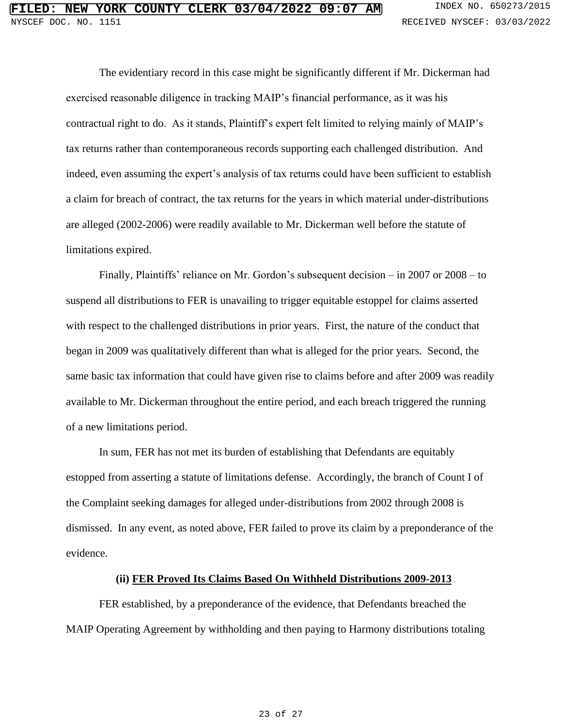The evidentiary record in this case might be significantly different if Mr. Dickerman had exercised reasonable diligence in tracking MAIP's financial performance, as it was his contractual right to do. As it stands, Plaintiff's expert felt limited to relying mainly of MAIP's tax returns rather than contemporaneous records supporting each challenged distribution. And indeed, even assuming the expert's analysis of tax returns could have been sufficient to establish a claim for breach of contract, the tax returns for the years in which material under-distributions are alleged (2002-2006) were readily available to Mr. Dickerman well before the statute of limitations expired.

Finally, Plaintiffs' reliance on Mr. Gordon's subsequent decision – in 2007 or 2008 – to suspend all distributions to FER is unavailing to trigger equitable estoppel for claims asserted with respect to the challenged distributions in prior years. First, the nature of the conduct that began in 2009 was qualitatively different than what is alleged for the prior years. Second, the same basic tax information that could have given rise to claims before and after 2009 was readily available to Mr. Dickerman throughout the entire period, and each breach triggered the running of a new limitations period.

In sum, FER has not met its burden of establishing that Defendants are equitably estopped from asserting a statute of limitations defense. Accordingly, the branch of Count I of the Complaint seeking damages for alleged under-distributions from 2002 through 2008 is dismissed. In any event, as noted above, FER failed to prove its claim by a preponderance of the evidence.

#### **(ii) FER Proved Its Claims Based On Withheld Distributions 2009-2013**

FER established, by a preponderance of the evidence, that Defendants breached the MAIP Operating Agreement by withholding and then paying to Harmony distributions totaling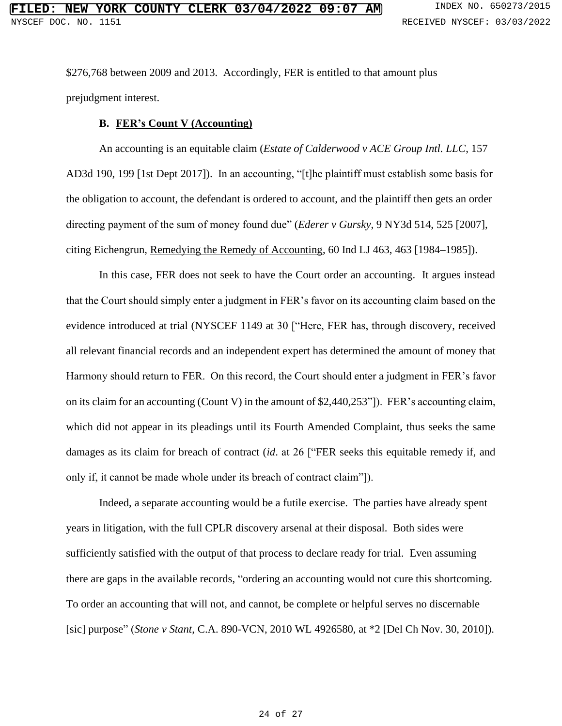\$276,768 between 2009 and 2013. Accordingly, FER is entitled to that amount plus prejudgment interest.

### **B. FER's Count V (Accounting)**

An accounting is an equitable claim (*Estate of Calderwood v ACE Group Intl. LLC*, 157 AD3d 190, 199 [1st Dept 2017]). In an accounting, "[t]he plaintiff must establish some basis for the obligation to account, the defendant is ordered to account, and the plaintiff then gets an order directing payment of the sum of money found due" (*Ederer v Gursky*, 9 NY3d 514, 525 [2007], citing Eichengrun, Remedying the Remedy of Accounting, 60 Ind LJ 463, 463 [1984–1985]).

In this case, FER does not seek to have the Court order an accounting. It argues instead that the Court should simply enter a judgment in FER's favor on its accounting claim based on the evidence introduced at trial (NYSCEF 1149 at 30 ["Here, FER has, through discovery, received all relevant financial records and an independent expert has determined the amount of money that Harmony should return to FER. On this record, the Court should enter a judgment in FER's favor on its claim for an accounting (Count V) in the amount of \$2,440,253"]). FER's accounting claim, which did not appear in its pleadings until its Fourth Amended Complaint, thus seeks the same damages as its claim for breach of contract (*id*. at 26 ["FER seeks this equitable remedy if, and only if, it cannot be made whole under its breach of contract claim"]).

Indeed, a separate accounting would be a futile exercise. The parties have already spent years in litigation, with the full CPLR discovery arsenal at their disposal. Both sides were sufficiently satisfied with the output of that process to declare ready for trial. Even assuming there are gaps in the available records, "ordering an accounting would not cure this shortcoming. To order an accounting that will not, and cannot, be complete or helpful serves no discernable [sic] purpose" (*Stone v Stant*, C.A. 890-VCN, 2010 WL 4926580, at \*2 [Del Ch Nov. 30, 2010]).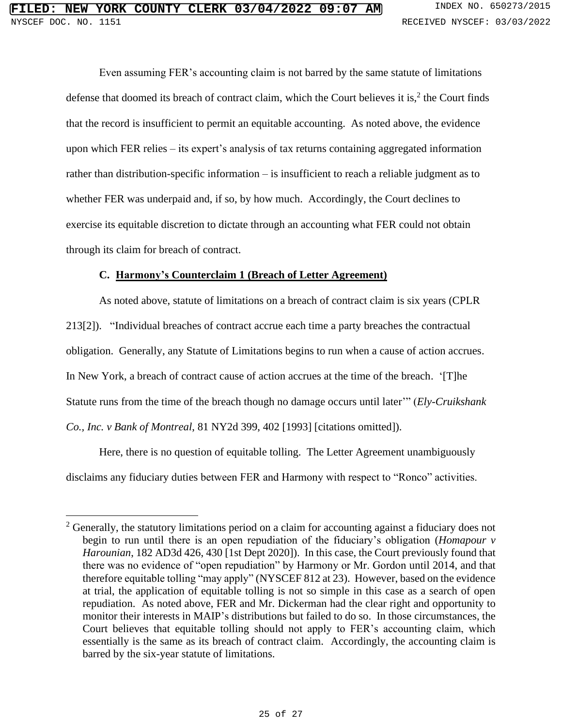Even assuming FER's accounting claim is not barred by the same statute of limitations defense that doomed its breach of contract claim, which the Court believes it is, $2$  the Court finds that the record is insufficient to permit an equitable accounting. As noted above, the evidence upon which FER relies – its expert's analysis of tax returns containing aggregated information rather than distribution-specific information – is insufficient to reach a reliable judgment as to whether FER was underpaid and, if so, by how much. Accordingly, the Court declines to exercise its equitable discretion to dictate through an accounting what FER could not obtain through its claim for breach of contract.

# **C. Harmony's Counterclaim 1 (Breach of Letter Agreement)**

As noted above, statute of limitations on a breach of contract claim is six years (CPLR 213[2]). "Individual breaches of contract accrue each time a party breaches the contractual obligation. Generally, any Statute of Limitations begins to run when a cause of action accrues. In New York, a breach of contract cause of action accrues at the time of the breach. '[T]he Statute runs from the time of the breach though no damage occurs until later'" (*Ely-Cruikshank Co., Inc. v Bank of Montreal*, 81 NY2d 399, 402 [1993] [citations omitted]).

Here, there is no question of equitable tolling. The Letter Agreement unambiguously disclaims any fiduciary duties between FER and Harmony with respect to "Ronco" activities.

<sup>&</sup>lt;sup>2</sup> Generally, the statutory limitations period on a claim for accounting against a fiduciary does not begin to run until there is an open repudiation of the fiduciary's obligation (*Homapour v Harounian*, 182 AD3d 426, 430 [1st Dept 2020]). In this case, the Court previously found that there was no evidence of "open repudiation" by Harmony or Mr. Gordon until 2014, and that therefore equitable tolling "may apply" (NYSCEF 812 at 23). However, based on the evidence at trial, the application of equitable tolling is not so simple in this case as a search of open repudiation. As noted above, FER and Mr. Dickerman had the clear right and opportunity to monitor their interests in MAIP's distributions but failed to do so. In those circumstances, the Court believes that equitable tolling should not apply to FER's accounting claim, which essentially is the same as its breach of contract claim. Accordingly, the accounting claim is barred by the six-year statute of limitations.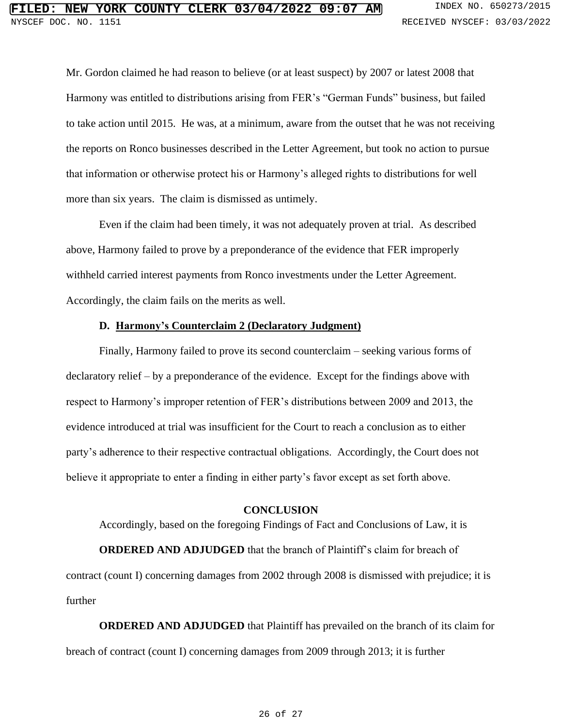Mr. Gordon claimed he had reason to believe (or at least suspect) by 2007 or latest 2008 that Harmony was entitled to distributions arising from FER's "German Funds" business, but failed to take action until 2015. He was, at a minimum, aware from the outset that he was not receiving the reports on Ronco businesses described in the Letter Agreement, but took no action to pursue that information or otherwise protect his or Harmony's alleged rights to distributions for well more than six years. The claim is dismissed as untimely.

Even if the claim had been timely, it was not adequately proven at trial. As described above, Harmony failed to prove by a preponderance of the evidence that FER improperly withheld carried interest payments from Ronco investments under the Letter Agreement. Accordingly, the claim fails on the merits as well.

### **D. Harmony's Counterclaim 2 (Declaratory Judgment)**

Finally, Harmony failed to prove its second counterclaim – seeking various forms of declaratory relief – by a preponderance of the evidence. Except for the findings above with respect to Harmony's improper retention of FER's distributions between 2009 and 2013, the evidence introduced at trial was insufficient for the Court to reach a conclusion as to either party's adherence to their respective contractual obligations. Accordingly, the Court does not believe it appropriate to enter a finding in either party's favor except as set forth above.

### **CONCLUSION**

Accordingly, based on the foregoing Findings of Fact and Conclusions of Law, it is

**ORDERED AND ADJUDGED** that the branch of Plaintiff's claim for breach of contract (count I) concerning damages from 2002 through 2008 is dismissed with prejudice; it is further

**ORDERED AND ADJUDGED** that Plaintiff has prevailed on the branch of its claim for breach of contract (count I) concerning damages from 2009 through 2013; it is further